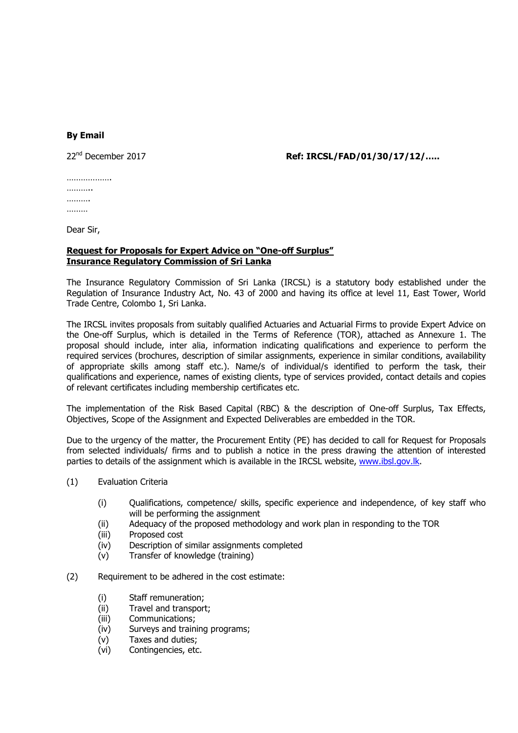## **By Email**

## 22nd December 2017 **Ref: IRCSL/FAD/01/30/17/12/…..**

……………… ………… ………. ………

Dear Sir,

## **Request for Proposals for Expert Advice on "One-off Surplus" Insurance Regulatory Commission of Sri Lanka**

The Insurance Regulatory Commission of Sri Lanka (IRCSL) is a statutory body established under the Regulation of Insurance Industry Act, No. 43 of 2000 and having its office at level 11, East Tower, World Trade Centre, Colombo 1, Sri Lanka.

The IRCSL invites proposals from suitably qualified Actuaries and Actuarial Firms to provide Expert Advice on the One-off Surplus, which is detailed in the Terms of Reference (TOR), attached as Annexure 1. The proposal should include, inter alia, information indicating qualifications and experience to perform the required services (brochures, description of similar assignments, experience in similar conditions, availability of appropriate skills among staff etc.). Name/s of individual/s identified to perform the task, their qualifications and experience, names of existing clients, type of services provided, contact details and copies of relevant certificates including membership certificates etc.

The implementation of the Risk Based Capital (RBC) & the description of One-off Surplus, Tax Effects, Objectives, Scope of the Assignment and Expected Deliverables are embedded in the TOR.

Due to the urgency of the matter, the Procurement Entity (PE) has decided to call for Request for Proposals from selected individuals/ firms and to publish a notice in the press drawing the attention of interested parties to details of the assignment which is available in the IRCSL website, www.ibsl.gov.lk.

- (1) Evaluation Criteria
	- (i) Qualifications, competence/ skills, specific experience and independence, of key staff who will be performing the assignment
	- (ii) Adequacy of the proposed methodology and work plan in responding to the TOR
	- (iii) Proposed cost
	- (iv) Description of similar assignments completed
	- (v) Transfer of knowledge (training)
- (2) Requirement to be adhered in the cost estimate:
	- (i) Staff remuneration;
	- (ii) Travel and transport;
	- (iii) Communications;
	- (iv) Surveys and training programs;
	- (v) Taxes and duties;
	- (vi) Contingencies, etc.